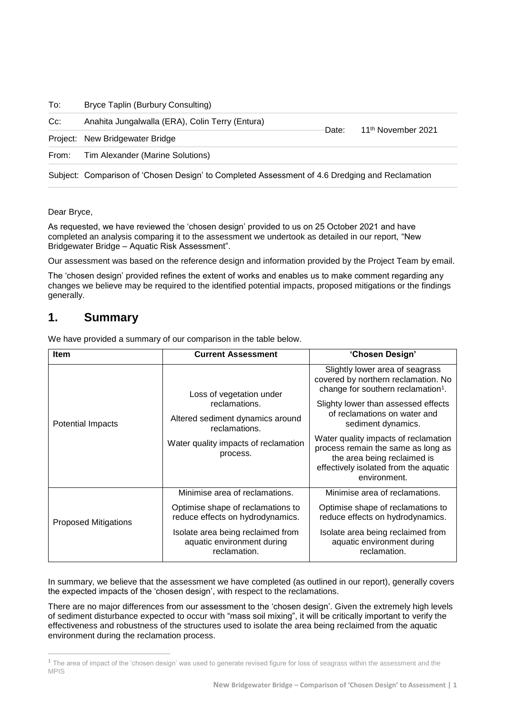To: Bryce Taplin (Burbury Consulting)

| $Cc$ : | Anahita Jungalwalla (ERA), Colin Terry (Entura)                                                | <sup>-</sup> Date: | 11 <sup>th</sup> November 2021 |
|--------|------------------------------------------------------------------------------------------------|--------------------|--------------------------------|
|        | Project: New Bridgewater Bridge                                                                |                    |                                |
| From:  | Tim Alexander (Marine Solutions)                                                               |                    |                                |
|        | Subject: Comparison of 'Chosen Design' to Completed Assessment of 4.6 Dredging and Reclamation |                    |                                |

Dear Bryce,

As requested, we have reviewed the 'chosen design' provided to us on 25 October 2021 and have completed an analysis comparing it to the assessment we undertook as detailed in our report, "New Bridgewater Bridge – Aquatic Risk Assessment".

Our assessment was based on the reference design and information provided by the Project Team by email.

The 'chosen design' provided refines the extent of works and enables us to make comment regarding any changes we believe may be required to the identified potential impacts, proposed mitigations or the findings generally.

### **1. Summary**

We have provided a summary of our comparison in the table below.

| <b>Item</b>                 | <b>Current Assessment</b>                                                       | 'Chosen Design'                                                                                                                                                    |  |
|-----------------------------|---------------------------------------------------------------------------------|--------------------------------------------------------------------------------------------------------------------------------------------------------------------|--|
|                             | Loss of vegetation under                                                        | Slightly lower area of seagrass<br>covered by northern reclamation. No<br>change for southern reclamation <sup>1</sup> .                                           |  |
|                             | reclamations.                                                                   | Slighty lower than assessed effects                                                                                                                                |  |
| <b>Potential Impacts</b>    | Altered sediment dynamics around<br>reclamations.                               | of reclamations on water and<br>sediment dynamics.                                                                                                                 |  |
|                             | Water quality impacts of reclamation<br>process.                                | Water quality impacts of reclamation<br>process remain the same as long as<br>the area being reclaimed is<br>effectively isolated from the aquatic<br>environment. |  |
|                             | Minimise area of reclamations.                                                  | Minimise area of reclamations.                                                                                                                                     |  |
| <b>Proposed Mitigations</b> | Optimise shape of reclamations to<br>reduce effects on hydrodynamics.           | Optimise shape of reclamations to<br>reduce effects on hydrodynamics.                                                                                              |  |
|                             | Isolate area being reclaimed from<br>aquatic environment during<br>reclamation. | Isolate area being reclaimed from<br>aquatic environment during<br>reclamation.                                                                                    |  |

In summary, we believe that the assessment we have completed (as outlined in our report), generally covers the expected impacts of the 'chosen design', with respect to the reclamations.

There are no major differences from our assessment to the 'chosen design'. Given the extremely high levels of sediment disturbance expected to occur with "mass soil mixing", it will be critically important to verify the effectiveness and robustness of the structures used to isolate the area being reclaimed from the aquatic environment during the reclamation process.

**<sup>1</sup>** The area of impact of the 'chosen design' was used to generate revised figure for loss of seagrass within the assessment and the MPIS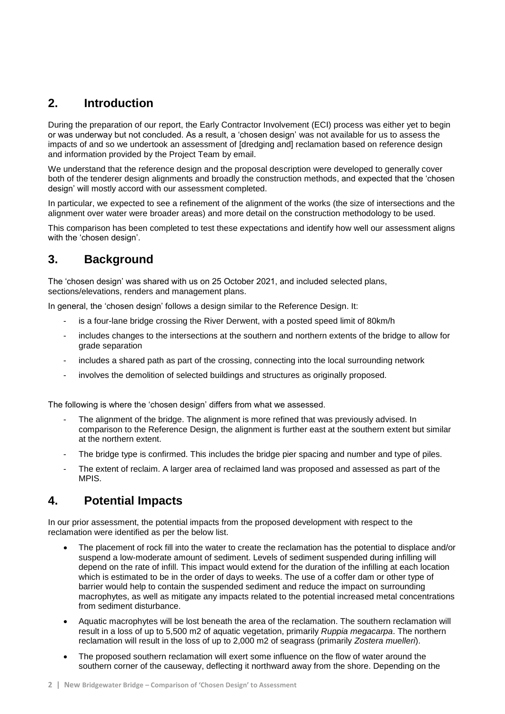## **2. Introduction**

During the preparation of our report, the Early Contractor Involvement (ECI) process was either yet to begin or was underway but not concluded. As a result, a 'chosen design' was not available for us to assess the impacts of and so we undertook an assessment of [dredging and] reclamation based on reference design and information provided by the Project Team by email.

We understand that the reference design and the proposal description were developed to generally cover both of the tenderer design alignments and broadly the construction methods, and expected that the 'chosen design' will mostly accord with our assessment completed.

In particular, we expected to see a refinement of the alignment of the works (the size of intersections and the alignment over water were broader areas) and more detail on the construction methodology to be used.

This comparison has been completed to test these expectations and identify how well our assessment aligns with the 'chosen design'.

# **3. Background**

The 'chosen design' was shared with us on 25 October 2021, and included selected plans, sections/elevations, renders and management plans.

In general, the 'chosen design' follows a design similar to the Reference Design. It:

- is a four-lane bridge crossing the River Derwent, with a posted speed limit of 80km/h
- includes changes to the intersections at the southern and northern extents of the bridge to allow for grade separation
- includes a shared path as part of the crossing, connecting into the local surrounding network
- involves the demolition of selected buildings and structures as originally proposed.

The following is where the 'chosen design' differs from what we assessed.

- The alignment of the bridge. The alignment is more refined that was previously advised. In comparison to the Reference Design, the alignment is further east at the southern extent but similar at the northern extent.
- The bridge type is confirmed. This includes the bridge pier spacing and number and type of piles.
- The extent of reclaim. A larger area of reclaimed land was proposed and assessed as part of the MPIS.

#### **4. Potential Impacts**

In our prior assessment, the potential impacts from the proposed development with respect to the reclamation were identified as per the below list.

- The placement of rock fill into the water to create the reclamation has the potential to displace and/or suspend a low-moderate amount of sediment. Levels of sediment suspended during infilling will depend on the rate of infill. This impact would extend for the duration of the infilling at each location which is estimated to be in the order of days to weeks. The use of a coffer dam or other type of barrier would help to contain the suspended sediment and reduce the impact on surrounding macrophytes, as well as mitigate any impacts related to the potential increased metal concentrations from sediment disturbance.
- Aquatic macrophytes will be lost beneath the area of the reclamation. The southern reclamation will result in a loss of up to 5,500 m2 of aquatic vegetation, primarily *Ruppia megacarpa*. The northern reclamation will result in the loss of up to 2,000 m2 of seagrass (primarily *Zostera muelleri*).
- The proposed southern reclamation will exert some influence on the flow of water around the southern corner of the causeway, deflecting it northward away from the shore. Depending on the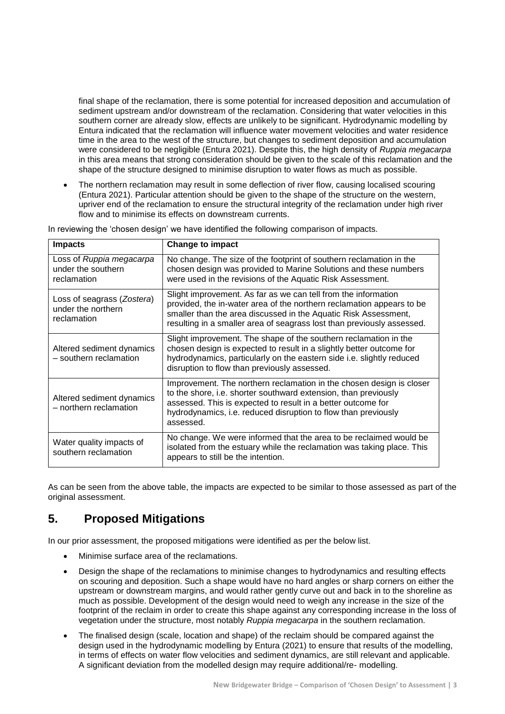final shape of the reclamation, there is some potential for increased deposition and accumulation of sediment upstream and/or downstream of the reclamation. Considering that water velocities in this southern corner are already slow, effects are unlikely to be significant. Hydrodynamic modelling by Entura indicated that the reclamation will influence water movement velocities and water residence time in the area to the west of the structure, but changes to sediment deposition and accumulation were considered to be negligible (Entura 2021). Despite this, the high density of *Ruppia megacarpa* in this area means that strong consideration should be given to the scale of this reclamation and the shape of the structure designed to minimise disruption to water flows as much as possible.

• The northern reclamation may result in some deflection of river flow, causing localised scouring (Entura 2021). Particular attention should be given to the shape of the structure on the western, upriver end of the reclamation to ensure the structural integrity of the reclamation under high river flow and to minimise its effects on downstream currents.

| <b>Impacts</b>                                                  | <b>Change to impact</b>                                                                                                                                                                                                                                                                |  |  |
|-----------------------------------------------------------------|----------------------------------------------------------------------------------------------------------------------------------------------------------------------------------------------------------------------------------------------------------------------------------------|--|--|
| Loss of Ruppia megacarpa<br>under the southern<br>reclamation   | No change. The size of the footprint of southern reclamation in the<br>chosen design was provided to Marine Solutions and these numbers<br>were used in the revisions of the Aquatic Risk Assessment.                                                                                  |  |  |
| Loss of seagrass (Zostera)<br>under the northern<br>reclamation | Slight improvement. As far as we can tell from the information<br>provided, the in-water area of the northern reclamation appears to be<br>smaller than the area discussed in the Aquatic Risk Assessment,<br>resulting in a smaller area of seagrass lost than previously assessed.   |  |  |
| Altered sediment dynamics<br>- southern reclamation             | Slight improvement. The shape of the southern reclamation in the<br>chosen design is expected to result in a slightly better outcome for<br>hydrodynamics, particularly on the eastern side i.e. slightly reduced<br>disruption to flow than previously assessed.                      |  |  |
| Altered sediment dynamics<br>- northern reclamation             | Improvement. The northern reclamation in the chosen design is closer<br>to the shore, i.e. shorter southward extension, than previously<br>assessed. This is expected to result in a better outcome for<br>hydrodynamics, i.e. reduced disruption to flow than previously<br>assessed. |  |  |
| Water quality impacts of<br>southern reclamation                | No change. We were informed that the area to be reclaimed would be<br>isolated from the estuary while the reclamation was taking place. This<br>appears to still be the intention.                                                                                                     |  |  |

In reviewing the 'chosen design' we have identified the following comparison of impacts.

As can be seen from the above table, the impacts are expected to be similar to those assessed as part of the original assessment.

### **5. Proposed Mitigations**

In our prior assessment, the proposed mitigations were identified as per the below list.

- Minimise surface area of the reclamations.
- Design the shape of the reclamations to minimise changes to hydrodynamics and resulting effects on scouring and deposition. Such a shape would have no hard angles or sharp corners on either the upstream or downstream margins, and would rather gently curve out and back in to the shoreline as much as possible. Development of the design would need to weigh any increase in the size of the footprint of the reclaim in order to create this shape against any corresponding increase in the loss of vegetation under the structure, most notably *Ruppia megacarpa* in the southern reclamation.
- The finalised design (scale, location and shape) of the reclaim should be compared against the design used in the hydrodynamic modelling by Entura (2021) to ensure that results of the modelling, in terms of effects on water flow velocities and sediment dynamics, are still relevant and applicable. A significant deviation from the modelled design may require additional/re- modelling.